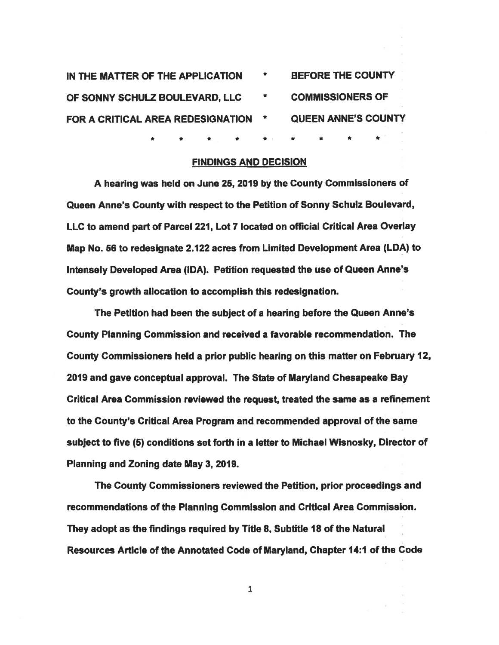| IN THE MATTER OF THE APPLICATION  | * | <b>BEFORE THE COUNTY</b>   |
|-----------------------------------|---|----------------------------|
| OF SONNY SCHULZ BOULEVARD, LLC    |   | <b>COMMISSIONERS OF</b>    |
| FOR A CRITICAL AREA REDESIGNATION |   | <b>QUEEN ANNE'S COUNTY</b> |
|                                   |   |                            |

\*

### FINDINGS AND DECISION

\* \* \* \* \* \* \* \*

<sup>A</sup> hearing was held on June 25, <sup>2019</sup> by the County Commissioners of Queen Anne's County with respec<sup>t</sup> to the Petition of Sonny Schulz Boulevard, LLC to amend par<sup>t</sup> of Parcel 221, Lot <sup>7</sup> located on official Critical Area Overlay Map No. 56 to redesignate 2.122 acres from Limited Development Area (LDA) to Intensely Developed Area (IDA). Petition requested the use of Queen Anne's County's growth allocation to accomplish this redesignation.

The Petition had been the subject of <sup>a</sup> hearing before the Queen Anne's County Planning Commission and received <sup>a</sup> favorable recommendation. The County Commissioners held <sup>a</sup> prior public hearing on this matter on February 12, 2019 and gave conceptual approval. The State of Maryland Chesapeake Bay Critical Area Commission reviewed the request, treated the same as <sup>a</sup> refinement to the County's Critical Area Program and recommended approval of the same subject to five (5) conditions set forth in <sup>a</sup> letter to Michael Wisnosky, Director of Planning and Zoning date May 3, 2019.

The County Commissioners reviewed the Petition, prior proceedings and recommendations of the Planning Commission and Critical Area Commission. They adopt as the findings required by Title 8, Subtitle 18 of the Natural Resources Article of the Annotated Code of Maryland, Chapter 14:1 of the Code

1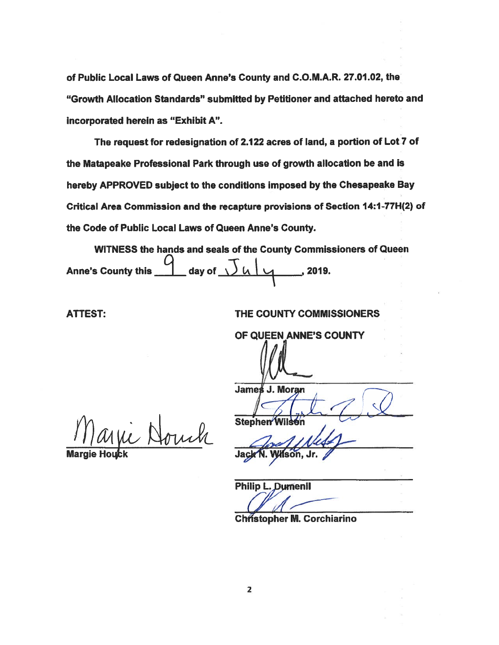of Public Local Laws of Queen Anne's County and C.O.M.A.R. 27.01.02, the "Growth Allocation Standards" submitted by Petitioner and attached hereto and incorporated herein as "Exhibit A".

The reques<sup>t</sup> for redesignation of 2.122 acres of land, <sup>a</sup> portion of Lot? of the Matapeake Professional Park through use of growth allocation be and is hereby APPROVED subject to the conditions imposed by the Chesapeake Bay Critical Area Commission and the recapture provisions of Section 14:1-77H(2) of the Code of Public Local Laws of Queen Anne's County.

WITNESS the hands and seals of the County Commissioners of Queen Anne's County this  $\frac{9}{2}$  day of  $\frac{1}{14}$   $\frac{1}{4}$  2019.

ATTEST: THE COUNTY COMMISSIONERS

OF QUEEN ANNE'S COUNTY

ic Nouch

Stepher Margie Houck **Grade Communist Communist Communist Communist Communist Communist Communist Communist Communist Communist Communist Communist Communist Communist Communist Communist Communist Communist Communist Communist Co** 

 $\mathbf{v}$ 

James J. Moran

Philip L. Dumenil

**Christopher M. Corchiarino**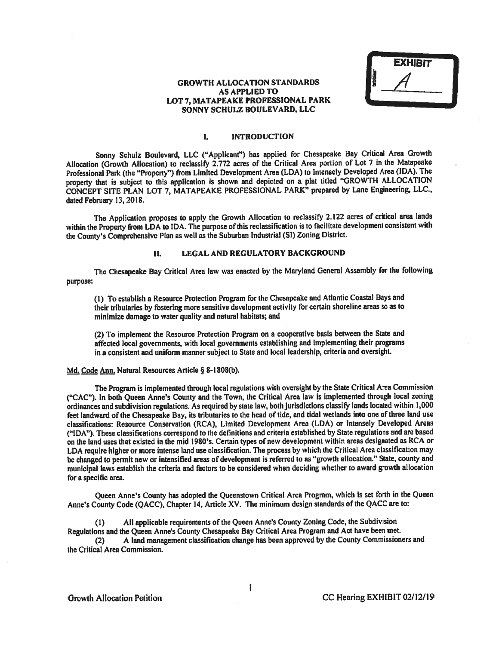EXHI9If

## GROWTH ALLOCATION STANDARDS AS APPLIED TO LOT 7, MATAPEAKE PROFESSIONAL PARK SONNY SCHULZ BOULEVARD, LLC

## 1. INTRODUCTION

Sonny Schulz Boulevard, LLC ("Applicant") has applied for Chesapeake Bay Critical Area Growth Allocation (Growth Allocation) to reclassify 2.772 acres of the Critical Area portion of Lot <sup>7</sup> in the Matapeake Professional Park (the "Property") from Limited Development Area (LDA) to Intensely Developed Area (IDA). The property that is subject to this application is shown and depicted on <sup>a</sup> <sup>p</sup>lat titled "GROWTH ALLOCATION CONCEPT SITE PLAN LOT 7, MATAPEAKE PROFESSIONAL PARK" prepare<sup>d</sup> by Lane Engineering, LLC., dated February 13, 2018.

The Application proposes to apply the Growth Allocation to reclassify 2.122 acres of critical area lands within the Property from LDA to IDA. The purpose of this reclassification is to facilitate development consistent with the County's Comprehensive Plan as well as the Suburban Industrial (SI) Zoning District.

### II. LEGAL AND REGULATORY BACKGROUND

The Chesapeake Bay Critical Area law was enacted by the Maryland General Assembly for the following purpose:

(I) To establish <sup>a</sup> Resource Protection Program for the Chesapeake and Atlantic Coastal Bays and their tributaries by fostering more sensitive development activity for certain shoreline areas so as to minimize damage to water quality and natural habitats; and

(2) To implement the Resource Protection Program on <sup>a</sup> cooperative basis between the State and affected local governments, with local governments establishing and implementing their programs in <sup>a</sup> consistent and uniform manner subject to State and local leadership, criteria and oversight.

## Md. Code Ann. Natural Resources Article § 8-1808(b).

The Program is implemented through local regulations vith oversight by the State Critical Area Commission ("CAC"). In both Queen Anne's County and the Town, the Critical Area law is implemented through local zoning ordinances and subdivision regulations. As required by state law, both jurisdictions classify lands located within 1,000 feet landward of the Chesapeake Bay, its tributaries to the head of tide, and tidal wetlands into one of three land use classifications: Resource Conservation (RCA), Limited Development Area (LDA) or Intensely Developed Areas ("IDA"). These classifications correspon<sup>d</sup> to the definitions and criteria established by State regulations and are based on the land uses that existed in the mid 1980's. Certain types of new development within areas designated as RCA or LDA require higher or more intense land use classification. The process by which the Critical Area classification may be changed to permit new or intensified areas of development is referred to as "growth allocation." State, county and municipal laws establish the criteria and factors to be considered when deciding whether to award growth allocation for <sup>a</sup> specific area.

Queen Anne's County has adopted the Queenstown Critical Area Program, which is set forth in the Queen Anne's County Code (QACC), Chapter 14, Article XV. The minimum design standards of the QACC are to:

(1) All applicable requirements ofthe Queen Anne's County Zoning Code, the Subdivision Regulations and the Queen Anne's County Chesapeake Bay Critical Area Program and Act have been met. (2) <sup>A</sup> land managemen<sup>t</sup> classification change has been approve<sup>d</sup> by the County Commissioners and

the Critical Area Commission.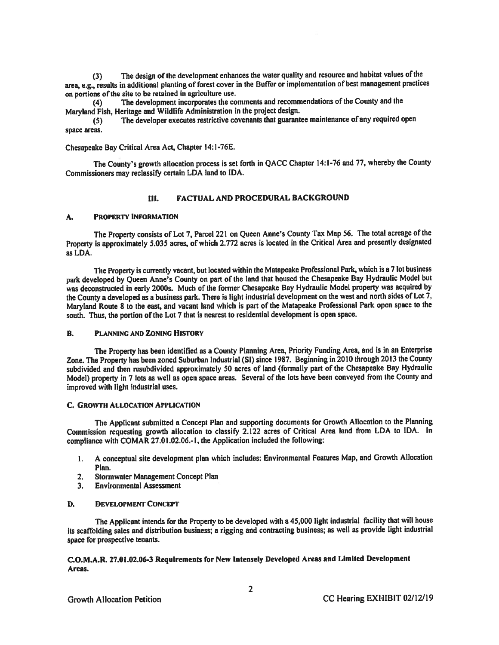(3) The design of the development enhances the water quality and resource and habitat values ofthe area, e.g., results in additional <sup>p</sup>lanting of forest cover in the Buffer or implementation of best managemen<sup>t</sup> practices on portions of the site to be retained in agriculture use.

(4) The development incorporates the comments and recommendations of the County and the Maryland Fish, Heritage and Wildlife Administration in the project design.

(5) The developer executes restrictive covenants that guarantee maintenance of any required open space areas.

Chesapeake Bay Critical Area Act, Chapter 14:l-76E.

The County's growth allocation process is set forth in QACC Chapter 14:1-76 and 77, whereby the County Commissioners may reclassify certain LDA land to IDA.

## III. FACTUAL AND PROCEDURAL BACKGROUND

### A. PROPERTY INFORMATION

The Property consists of Lot 7, Parcel <sup>221</sup> on Queen Anne's County Tax Map 56, The total acreage of the Property is approximately 5.035 acres, of which 2.772 acres is located in the Critical Area and presently designated as LDA.

The Property is currently vacant, but located within the Matapeake Professional Park, which is <sup>a</sup> <sup>7</sup> lot business par<sup>k</sup> developed by Queen Anne's County on par<sup>t</sup> of the land that housed the Chesapeake Bay Hydraulic Model but was deconstructed in early 2000s. Much of the former Chesapeake Bay Hydraulic Model property was acquired by the County <sup>a</sup> developed as <sup>a</sup> business park. There is light industrial development on the west and north sides of Lot 7, Maryland Route <sup>8</sup> to the east, and vacant land which is par<sup>t</sup> of the Matapeake Professional Park open space to the south. Thus, the portion of the Lot 7 that is nearest to residential development is open space.

## B. PLANNING AND ZONING HIsToRY

The Property has been identified as <sup>a</sup> County Planning Area, Priority Funding Area, and is in an Enterprise Zone. The Property has been zoned Suburban Industrial (SI) since 1987. Beginning in <sup>2010</sup> through <sup>2013</sup> the County subdivided and then resubdivided approximately <sup>50</sup> acres of land (formally par<sup>t</sup> of the Chesapeake Bay Hydraulic Model) property in <sup>7</sup> lots as well as open space areas. Several of the lots have been conveye<sup>d</sup> from the County and improved with light industrial uses.

#### C. GROWTH ALLOCATION APPLICATION

The Applicant submitted <sup>a</sup> Concept Plan and supporting documents for Growth Allocation to the Planning Commission requesting growth allocation to classify 2.122 acres of Critical Area land from LDA to IDA. In compliance with COMAR 27.0 1.02.06.-I, the Application included the following:

- 1. <sup>A</sup> conceptual site development <sup>p</sup>lan which includes: Environmental Features Map, and Growth Allocation Plan.
- 2. Storrnwater Management Concept Plan
- 3. Environmental Assessment

## D. DEVELOPMENT CONCEPT

The Applicant intends for the Property to be developed with <sup>a</sup> 45,000 light industrial facility that will house its scaffolding sales and distribution business; <sup>a</sup> rigging and contracting business; as well as provide light industrial space for prospective tenants.

## C.O.M.A.R. 27.01.02.06-3 Requirements for New Intensely Developed Areas and Limited Development Areas.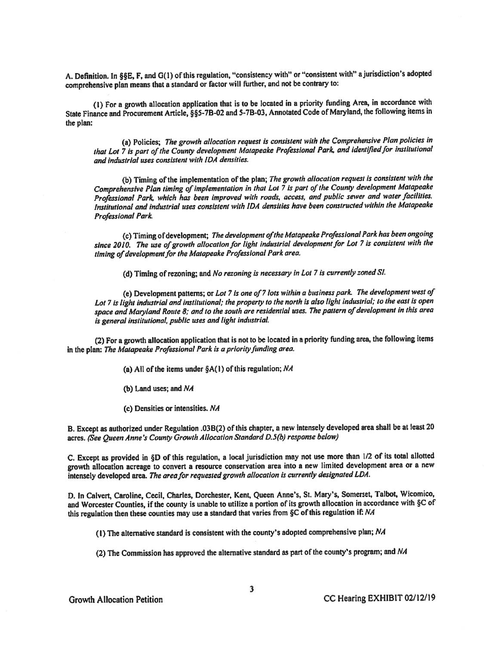A. Definition. In §§E, F, and G(1) of this regulation, "consistency with" or "consistent with" a jurisdiction's adopted comprehensive <sup>p</sup>lan means that <sup>a</sup> standard or factor will further, and not be contrary to:

(I) For <sup>a</sup> growth allocation application that is to be located in <sup>a</sup> priority funding Area. in accordance with State Finance and Procurement Article, §§5-7B-02 and 5-7B-03, Annotated Code of Maryland, the following items in the plan:

(a) Policies; The growth allocation reques<sup>t</sup> is consistent with the Comprehensive Plan policies in that Lot 7 is part of the County development Matapeake Professional Park, and identified for institutional and industrial uses consistent with IDA densities.

(b) Timing of the implementation of the plan; The growth allocation request is consistent with the Comprehensive Plan timing of implementation in that Lot 7 is part of the County development Matapeake Professional Park, which has been improved with roads, access, and public sewer and water facilities. institutional and industrial uses consistent with IDA densities have been constructed within the Matapeake Professional Park

(c) Timing of development; The development of the Matapeake Professional Park has been ongoing since 2010. The use of growth allocation for light industrial development for Lot 7 is consistent with the timing of development for the Matapeake Professional Park area.

(d) Timing of rezoning; and No rezoning is necessary in Lot <sup>7</sup> is currently zoned Si.

(e) Development patterns; or Lot 7is one of <sup>7</sup> lots within <sup>a</sup> business park. The development west of Lot <sup>7</sup> is light industrial and institutional; the property to the north is also light industrial; to the east is open space and Maryland Route 8; and to the south are residential uses. The pattern of development in this area is genera<sup>l</sup> institutional, public uses and light industriaL

(2) For <sup>a</sup> growth allocation application that is not to be located in <sup>a</sup> priority funding area, the following items in the plan: The Matapeake Professional Park is a priority funding area.

(a) All of the items under  $\S A(1)$  of this regulation; NA

(b) Land uses; and NA

(c) Densities or intensities. NA

B. Except as authorized under Regulation .03B(2) of this chapter, <sup>a</sup> new intensely developed area shall be at least <sup>20</sup> acres. (See Queen Anne's County Growth Allocation Standard D.5(b) response below)

C. Except as provided in §D of this regulation, <sup>a</sup> local jurisdiction may not use more than 1/2 of its total allotted growth allocation acreage to convert <sup>a</sup> resource conservation area into <sup>a</sup> new limited development area or <sup>a</sup> new intensely developed area. The area for requested growth allocation is currently designated LDA.

D. In Calvert, Caroline, Cecil, Charles, Dorchester, Kent, Queen Anne's, St. Mary's, Somerset, Talbot, Wicomico, and Worcester Counties, if the county is unable to utilize <sup>a</sup> portion of its growth allocation in accordance with §C of this regulation then these counties may use a standard that varies from §C of this regulation if: NA

(I) The alternative standard is consistent with the county's adopted comprehensive <sup>p</sup>lan; NA

(2) The Commission has approve<sup>d</sup> the alternative standard as par<sup>t</sup> of the county's program; and NA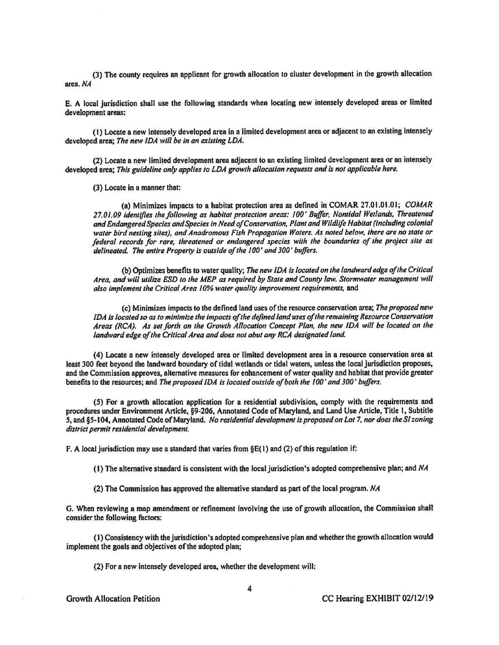(3) The county requires an applicant for growth allocation to cluster development in the growth allocation area. NA

E. <sup>A</sup> local jurisdiction shall use the following standards when locating new intensely developed areas or limited development areas:

(1) Locate <sup>a</sup> new intensely developed area in <sup>a</sup> limited development area or adjacent to an existing intensely developed area; The new IDA will be in an existing LDA.

(2) Locate <sup>a</sup> new limited development area adjacent to an existing limited development area or an intensely developed area; This guideline only applies to LDA growth allocation requests and is not applicable here.

(3) Locate in <sup>a</sup> manner that:

(a) Minimizes impacts to <sup>a</sup> habitat protection area as defined in COMAR 27.01.01.01; COMAR 27.01.09 identfles the following as habitat protection areas: 100' Buffer, Nontidal Wetlands, Threatened and Endangered Species and Species in Need of Conservation, Plant and Wildlife Habitat (including colonial waler bird nesting sites), and Anadromous Fish Propagation Waters. As noted below, there are no state or federal records for rare, threatened or endangered species with the boundaries of the project site as delineated. The entire Property is outside of the 100' and 300' buffers.

(b) Optimizes benefits to water quality; The new IDA is located on the landward edge of the Critical Area, and will utilize ESD to the MEP as required by State and County law. Stormwaier managemen<sup>t</sup> will also implement the Critical Area 10% water quality improvement requirements, and

(c) Minimizes impacts to the defined land uses of the resource conservation area; The proposed new IDA is located so as to minimize the impacts of the defined land uses of the remaining Resource Conservation Areas (RCA). As set forth on the Growth Allocation Concept Plan, the new IDA will be located on the landward edge of the Critical Area and does not abut any RCA designated land.

(4) Locate <sup>a</sup> new intensely developed area or limited development area in <sup>a</sup> resource conservation area at least 300 feet beyond the landward boundary of tidal wetlands or tidal waters, unless the local jurisdiction proposes, and the Commission approves, alternative measures for enhancement of water quality and habitat that provide greater benefits to the resources; and The proposed IDA is located outside of both the 100' and 300' buffers.

(5) For <sup>a</sup> growth allocation application for <sup>a</sup> residential subdivision, comply with the requirements and procedures under Environment Article, §9-206, Annotated Code of Maryland, and Land Use Article, Title I, Subtitle 5, and §5-104, Annotated Code of Maryland. No residential development is proposed on Lot 7, nor does the SI zoning district permit residential development.

F. A local jurisdiction may use a standard that varies from  $\S E(1)$  and (2) of this regulation if:

(1) The alternative standard is consistent with the local jurisdiction's adopted comprehensive <sup>p</sup>lan; and NA

(2) The Commission has approved the alternative standard as part of the local program.  $NA$ 

G. When reviewing <sup>a</sup> map amendment or refinement involving the use of growth allocation, the Commission shall consider the following factors:

(1) Consistency with the jurisdiction's adopted comprehensive <sup>p</sup>lan and whether the growth allocation would implement the goals and objectives of the adopted plan;

(2) For <sup>a</sup> new intensely developed area, whether the development will: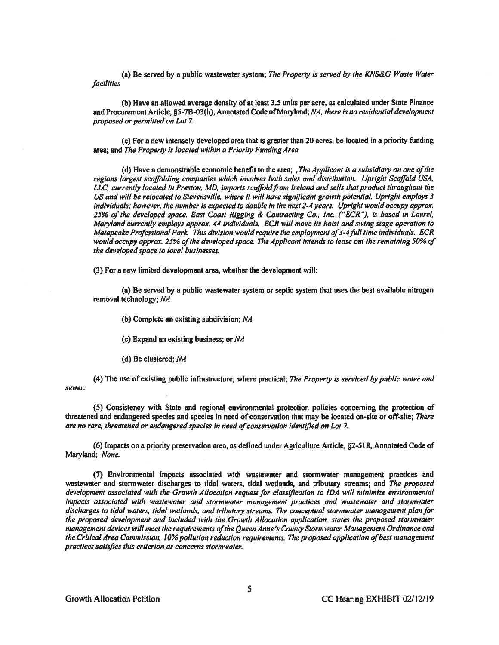(a) Be served by a public wastewater system; The Property is served by the KNS&G Waste Water facilities

(b) Have an allowed average density of at least 3.5 units per acre, as calculated under State Finance and Procurement Article, §5-7B-03(h), Annotated Code of Maryland; NA, there is no residential development proposed or permitted on Lot 7.

(c) For <sup>a</sup> new intensely developed area that is greater than 20 acres, be located in <sup>a</sup> priority funding area; and The Property is located within <sup>a</sup> Priority Funding Area.

(d) Have a demonstrable economic benefit to the area; , The Applicant is a subsidiary on one of the regions largest scaffolding companies which involves both sales and distribution. Upright Scaffold USA, LLC, currently located in Preston, MD, imports scaffold from Ireland and sells that product throughout the US and will be relocated to Stevensville, where it will have significant growth potential. Upright employs 3 individuals; however, the number is expected to double in the next 2-4 years. Upright would occupy approx. 25% of the developed space. East Coast Rigging & Contracting Co., Inc. ("SCR"), is based in Laurel, Maryland currently employs approx. 44 individuals. ECR will move its hoist and swing stage operation to Matapeake Professional Park. This division would require the employment of 3-4 full time individuals. ECR would occupy approx. 25% of the developed space. The Applicant intends to lease out the remaining 50% of the developed space to local businesses.

(3) For <sup>a</sup> new limited development area, whether the development will:

(a) Be served by <sup>a</sup> public wastewater system or septic system that uses the best available nitrogen removal technology; NA

(b) Complete an existing subdivision; NA

(c) Expand an existing business; or NA

(d) Be clustered; NA

(4) The use of existing public infrastructure, where practical; The Property is serviced by public water and sewer.

(5) Consistency with State and regional environmental protection policies concerning the protection of threatened and endangered species and species in need of conservation that may be located on-site or off-site; There are no rare, threatened or endangered species in need of conservation identified on Lot 7.

(6) Impacts on <sup>a</sup> priority preservation area, as defined under Agriculture Article, §2-518, Annotated Code of Maryland; None.

(7) Environmental impacts associated with wastewater and stormwater managemen<sup>t</sup> practices and wastewater and stormwater discharges to tidal waters, tidal wetlands, and tributary streams; and The proposed development associated with the Growth Allocation reques<sup>t</sup> for classflcation to IDA will minimize environmental impacts associated with wastewater and stormwater management practices and wastewater and stormwater discharges to tidal waters, tidal wetlands, and tributary streams. The conceptual stormwater managemen<sup>t</sup> plan for the proposed development and included with the Growth Allocation application, states the proposed stormwater management devices will meet the requirements of the Queen Anne's County Stormwater Management Ordinance and the Critical Area Commission, 10% pollution reduction requirements. The proposed application of best management practices satisfies this criterion as concerns stormwater.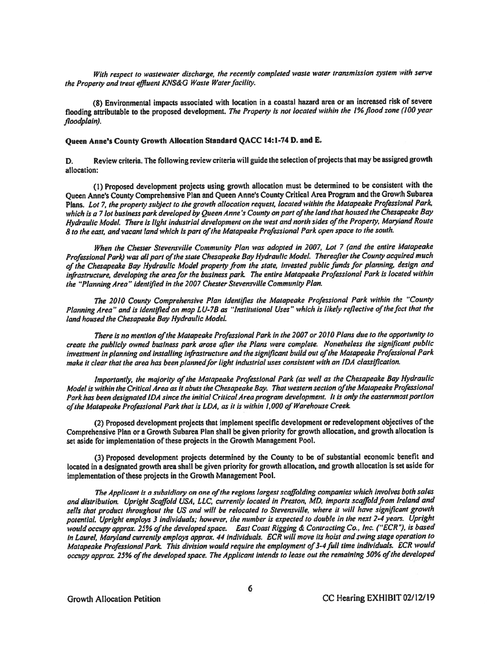With respect to wastewater discharge, the recently completed waste water transmission system with serve the Property and treat effluent KNS&G Waste Water facility.

(8) Environmental impacts associated with location in <sup>a</sup> coastal hazard area or an increased risk of severe flooding attributable to the proposed development. The Property is not located within the 1% flood zone (100 year floodplain).

# Queen Anne's County Growth Allocation Standard QACC 14:1-74 D. and E.

D. Review criteria. The following review criteria will guide the selection of projects that may be assigned growth allocation:

(I) Proposed development projects using growth allocation must be determined to be consistent with the Queen Anne's County Comprehensive Plan and Queen Anne's County Critical Area Program and the Growth Subarea Plans. Lot 7, the property subject to the growth allocation request, located within the Matapeake Professional Park, which is a 7 lot business park developed by Queen Anne's County on part of the land that housed the Chesapeake Bay Hydraulic Model. There is light industrial development on the west and north sides of the Property, Maryland Route B to the east, and vacant land which is part of the Matapeake Professional Park open space to the south.

When the Chester Stevensville Community Plan was adopted in 2007, Lot <sup>7</sup> (and the entire Maiapeake Professional Park) was all part of the state Chesapeake Bay Hydraulic Model. Thereafter the County acquired much of the Chesapeake Bay Hydraulic Model property from the state, invested public funds for planning, design and infrastructure, developing the area for the business park. The entire Matapeake Professional Park is located within the "Planning Area" identified in the 2007 Chester Stevensville Community Plan.

The 2010 County Comprehensive Plan identifies the Matapeake Professional Park within the "County Planning Area" and is identified on map LU-7B as "Institutional Uses" which is likely reflective of the fact that the land housed the Chesapeake Bay Hydraulic Model.

There is no mention of the Matapeake Professional Park in the 2007 or 2010 Plans due to the opportunity to create the publicly owned business park arose after the Plans were complete. Nonetheless the significant public investment in planning and installing infrastructure and the significant build out of the Matapeake Professional Park make it clear that the area has been planned for light industrial uses consistent with an IDA classification.

Importantly, the majority of the Matapeake Professional Park (as well as the Chesapeake Bay Hydraulic Model is within the Critical Area as it abuts the Chesapeake Bay. That western section of the Matapeake Professional Park has been designated IDA since the initial Critical Area program development. It is only the easrernmost portion ofthe Matapeake Professional Park that is LDA, as it is within 1,000 of Warehouse Creek

(2) Proposed development projects that implement specific development or redevelopment objectives ofthe Comprehensive Plan or <sup>a</sup> Growth Subarea Plan shall be <sup>g</sup>iven priority for growth allocation, and growth allocation is set aside for implementation of these projects in the Growth Management Pool,

(3) Proposed development projects determined by the County to be of substantial economic benefit and located in <sup>a</sup> designated growth area shall be <sup>g</sup>iven priority for growth allocation, and growth allocation is set aside for implementation of these projects in the Growth Management Pool.

The Applicant is a subsidiary on one of the regions largest scaffolding companies which involves both sales and distribution. Upright Scaffold USA, LLC, currently located in Preston, MD, imports scaffold from Ireland and sells that product throughout the US and will be relocated to Stevensville, where it will have significant growth potential. Upright employs <sup>3</sup> individuals; however, the number is expected to double in the next 2-4 years. Upright would occupy approx. 25% ofthe developed space. East Coast Rigging & Contracting Co., Inc. ("ECR"), is based in Laurel, Maryland currently employs approx. <sup>44</sup> individuals. ECR will move its hoist and swing stage operation to Matapeake Professional Park This division would require the employment of3-4full lime individuals. ECR would occupy approx. 25% of the developed space. The Applicant intends to lease out the remaining 50% of the developed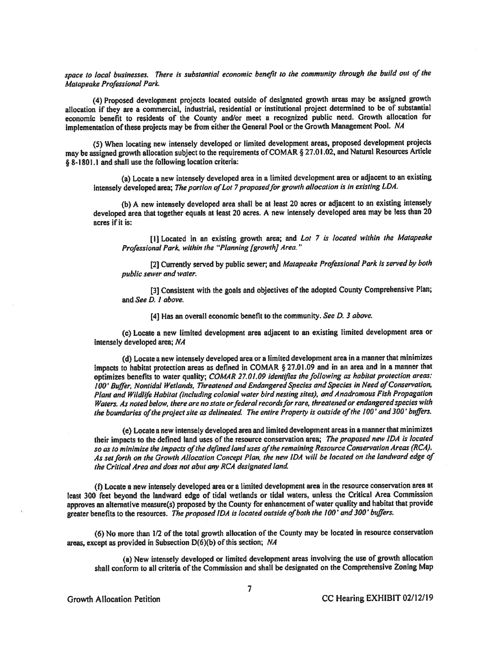space to local businesses. There is substantial economic benefit to the community through the build out of the Matapcake Professional Park

(4) Proposed development projects located outside of designated growth areas may be assigned growth allocation if they are <sup>a</sup> commercial, industrial, residential or institutional project determined to be of substantial economic benefit to residents of the County and/or meet <sup>a</sup> recognized public need. Growth allocation for implementation of these projects may be from either the General Pool or the Growth Management Pool. NA

(5) When locating new intensely developed or limited development areas, propose<sup>d</sup> development projects may be assigned growth allocation subject to the requirements of COMAR § 27.01.02, and Natural Resources Article § 8-1801.1 and shall use the following location criteria:

(a) Locate <sup>a</sup> new intensely developed area in <sup>a</sup> limited development area or adjacent to an existing intensely developed area; The portion of Lot 7 proposed for growth allocation is in existing LDA.

(b) <sup>A</sup> new intensely developed area shall be at least <sup>20</sup> acres or adjacent to an existing intensely developed area that together equals at least <sup>20</sup> acres. <sup>A</sup> new intensely developed area may be less than <sup>20</sup> acres if it is:

[I] Located in an existing growth area; and Lot 7 is located within the Matapeake Professional Park, within the "Planning [growth] Area."

[2] Currently served by public sewer; and Matapeake Professional Park is served by both public sewer and water.

[3] Consistent with the goals and objectives of the adopted County Comprehensive Plan; and See D. I above.

[4] Has an overall economic benefit to the community. See D. 3 above.

(c) Locate <sup>a</sup> new limited development area adjacent to an existing limited development area or intensely developed area; NA

(d) Locate <sup>a</sup> new intensely developed area or <sup>a</sup> limited development area in <sup>a</sup> manner that minimizes impacts to habitat protection areas as defined in COMAR § 27.01.09 and in an area and in a manner that optimizes benefits to water quality; COMAR 27.01.09 identifies the following as habitat protection areas: 100' Buffer, Nontidal Wetlands, Threatened and Endangered Species and Species in Need of Conservation, Plant and Wildlife Habitat (including colonial water bird nesting sites), and Anadromous Fish Propagation Waters, As noted below, there are no state or federal records for rare, threatened or endangered species with the boundaries of the project site as delineated. The entire Property is outside of the 100' and 300' buffers.

(e) Locate <sup>a</sup> new intensely developed area and limited development areas in <sup>a</sup> manner that minimizes their impacts to the defined land uses of the resource conservation area; The propose<sup>d</sup> new IDA is located so as to minimize the impacts of the defined land uses of the remaining Resource Conservation Areas (RCA). As set forth on the Growth Allocation Concept Plan, the new IDA will be located on the landward edge of the Critical Area and does not abut any RCA designated land.

(f) Locate <sup>a</sup> new intensely developed area or <sup>a</sup> limited development area in the resource conservation area at least <sup>300</sup> feet beyond the landward edge of tidal wetlands or tidal waters, unless the Critical Area Commission approves an alternative measure(s) proposed by the County for enhancement of water quality and habitat that provide greater benefits to the resources. The proposed IDA is located outside of both the 100' and 300' buffers.

(6) No more than 1/2 of the total growth allocation of the County may be located in resource conservation areas, excep<sup>t</sup> as provided in Subsection D(6)(b) of this section; NA

(a) New intensely developed or limited development areas involving the use of growth allocation shall conform to all criteria of the Commission and shall be designated on the Comprehensive Zoning Map